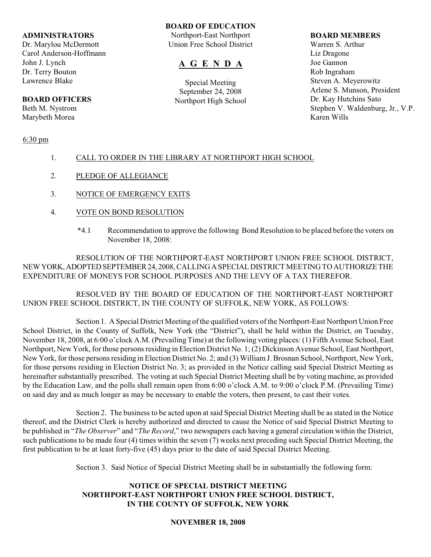#### **ADMINISTRATORS**

Dr. Marylou McDermott Carol Anderson-Hoffmann John J. Lynch Dr. Terry Bouton Lawrence Blake

# **BOARD OFFICERS**

Beth M. Nystrom Marybeth Morea

### 6:30 pm

## **BOARD OF EDUCATION**

Northport-East Northport Union Free School District

# **A G E N D A**

Special Meeting September 24, 2008 Northport High School

#### **BOARD MEMBERS**

Warren S. Arthur Liz Dragone Joe Gannon Rob Ingraham Steven A. Meyerowitz Arlene S. Munson, President Dr. Kay Hutchins Sato Stephen V. Waldenburg, Jr., V.P. Karen Wills

# 1. CALL TO ORDER IN THE LIBRARY AT NORTHPORT HIGH SCHOOL

- 2. PLEDGE OF ALLEGIANCE
- 3. NOTICE OF EMERGENCY EXITS
- 4. VOTE ON BOND RESOLUTION
	- \*4.1 Recommendation to approve the following Bond Resolution to be placed before the voters on November 18, 2008:

RESOLUTION OF THE NORTHPORT-EAST NORTHPORT UNION FREE SCHOOL DISTRICT, NEW YORK, ADOPTED SEPTEMBER 24, 2008, CALLING A SPECIAL DISTRICT MEETING TO AUTHORIZE THE EXPENDITURE OF MONEYS FOR SCHOOL PURPOSES AND THE LEVY OF A TAX THEREFOR.

RESOLVED BY THE BOARD OF EDUCATION OF THE NORTHPORT-EAST NORTHPORT UNION FREE SCHOOL DISTRICT, IN THE COUNTY OF SUFFOLK, NEW YORK, AS FOLLOWS:

Section 1. A Special District Meeting of the qualified voters of the Northport-East Northport Union Free School District, in the County of Suffolk, New York (the "District"), shall be held within the District, on Tuesday, November 18, 2008, at 6:00 o'clock A.M. (Prevailing Time) at the following voting places: (1) Fifth Avenue School, East Northport, New York, for those persons residing in Election District No. 1; (2) Dickinson Avenue School, East Northport, New York, for those persons residing in Election District No. 2; and (3) William J. Brosnan School, Northport, New York, for those persons residing in Election District No. 3; as provided in the Notice calling said Special District Meeting as hereinafter substantially prescribed. The voting at such Special District Meeting shall be by voting machine, as provided by the Education Law, and the polls shall remain open from 6:00 o'clock A.M. to 9:00 o'clock P.M. (Prevailing Time) on said day and as much longer as may be necessary to enable the voters, then present, to cast their votes.

Section 2. The business to be acted upon at said Special District Meeting shall be as stated in the Notice thereof, and the District Clerk is hereby authorized and directed to cause the Notice of said Special District Meeting to be published in "*The Observer*" and "*The Record*," two newspapers each having a general circulation within the District, such publications to be made four (4) times within the seven (7) weeks next preceding such Special District Meeting, the first publication to be at least forty-five (45) days prior to the date of said Special District Meeting.

Section 3. Said Notice of Special District Meeting shall be in substantially the following form:

## **NOTICE OF SPECIAL DISTRICT MEETING NORTHPORT-EAST NORTHPORT UNION FREE SCHOOL DISTRICT, IN THE COUNTY OF SUFFOLK, NEW YORK**

# **NOVEMBER 18, 2008**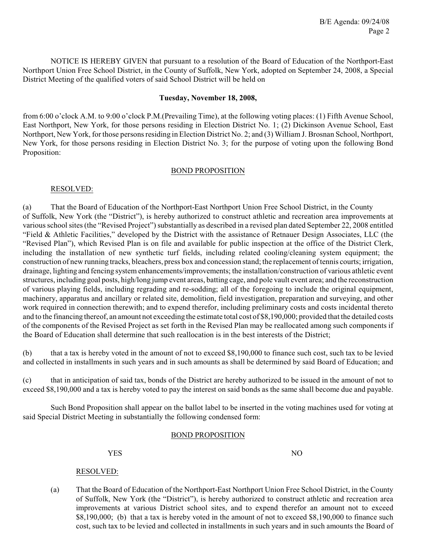NOTICE IS HEREBY GIVEN that pursuant to a resolution of the Board of Education of the Northport-East Northport Union Free School District, in the County of Suffolk, New York, adopted on September 24, 2008, a Special District Meeting of the qualified voters of said School District will be held on

#### **Tuesday, November 18, 2008,**

from 6:00 o'clock A.M. to 9:00 o'clock P.M.(Prevailing Time), at the following voting places: (1) Fifth Avenue School, East Northport, New York, for those persons residing in Election District No. 1; (2) Dickinson Avenue School, East Northport, New York, for those persons residing in Election District No. 2; and (3) William J. Brosnan School, Northport, New York, for those persons residing in Election District No. 3; for the purpose of voting upon the following Bond Proposition:

## BOND PROPOSITION

#### RESOLVED:

(a) That the Board of Education of the Northport-East Northport Union Free School District, in the County of Suffolk, New York (the "District"), is hereby authorized to construct athletic and recreation area improvements at various school sites (the "Revised Project") substantially as described in a revised plan dated September 22, 2008 entitled "Field & Athletic Facilities," developed by the District with the assistance of Retnauer Design Associates, LLC (the "Revised Plan"), which Revised Plan is on file and available for public inspection at the office of the District Clerk, including the installation of new synthetic turf fields, including related cooling/cleaning system equipment; the construction of new running tracks, bleachers, press box and concession stand; the replacement of tennis courts; irrigation, drainage, lighting and fencing system enhancements/improvements; the installation/construction of various athletic event structures, including goal posts, high/long jump event areas, batting cage, and pole vault event area; and the reconstruction of various playing fields, including regrading and re-sodding; all of the foregoing to include the original equipment, machinery, apparatus and ancillary or related site, demolition, field investigation, preparation and surveying, and other work required in connection therewith; and to expend therefor, including preliminary costs and costs incidental thereto and to the financing thereof, an amount not exceeding the estimate total cost of \$8,190,000; provided that the detailed costs of the components of the Revised Project as set forth in the Revised Plan may be reallocated among such components if the Board of Education shall determine that such reallocation is in the best interests of the District;

(b) that a tax is hereby voted in the amount of not to exceed \$8,190,000 to finance such cost, such tax to be levied and collected in installments in such years and in such amounts as shall be determined by said Board of Education; and

(c) that in anticipation of said tax, bonds of the District are hereby authorized to be issued in the amount of not to exceed \$8,190,000 and a tax is hereby voted to pay the interest on said bonds as the same shall become due and payable.

Such Bond Proposition shall appear on the ballot label to be inserted in the voting machines used for voting at said Special District Meeting in substantially the following condensed form:

#### BOND PROPOSITION

YES NO

# RESOLVED:

(a) That the Board of Education of the Northport-East Northport Union Free School District, in the County of Suffolk, New York (the "District"), is hereby authorized to construct athletic and recreation area improvements at various District school sites, and to expend therefor an amount not to exceed \$8,190,000; (b) that a tax is hereby voted in the amount of not to exceed \$8,190,000 to finance such cost, such tax to be levied and collected in installments in such years and in such amounts the Board of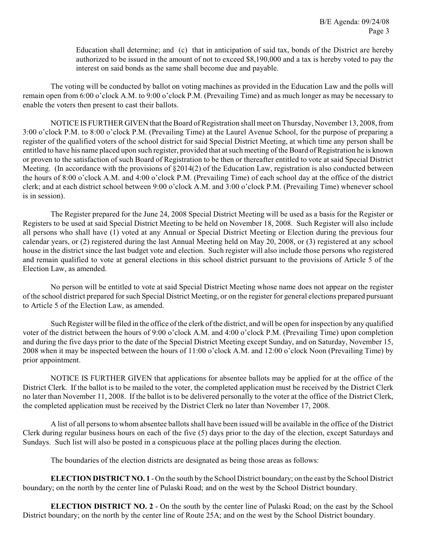Education shall determine; and (c) that in anticipation of said tax, bonds of the District are hereby authorized to be issued in the amount of not to exceed \$8,190,000 and a tax is hereby voted to pay the interest on said bonds as the same shall become due and payable.

The voting will be conducted by ballot on voting machines as provided in the Education Law and the polls will remain open from 6:00 o'clock A.M. to 9:00 o'clock P.M. (Prevailing Time) and as much longer as may be necessary to enable the voters then present to cast their ballots.

NOTICE IS FURTHER GIVEN that the Board of Registration shall meet on Thursday, November 13, 2008, from 3:00 o'clock P.M. to 8:00 o'clock P.M. (Prevailing Time) at the Laurel Avenue School, for the purpose of preparing a register of the qualified voters of the school district for said Special District Meeting, at which time any person shall be entitled to have his name placed upon such register, provided that at such meeting of the Board of Registration he is known or proven to the satisfaction of such Board of Registration to be then or thereafter entitled to vote at said Special District Meeting. (In accordance with the provisions of §2014(2) of the Education Law, registration is also conducted between the hours of 8:00 o'clock A.M. and 4:00 o'clock P.M. (Prevailing Time) of each school day at the office of the district clerk; and at each district school between 9:00 o'clock A.M. and 3:00 o'clock P.M. (Prevailing Time) whenever school is in session).

The Register prepared for the June 24, 2008 Special District Meeting will be used as a basis for the Register or Registers to be used at said Special District Meeting to be held on November 18, 2008. Such Register will also include all persons who shall have (1) voted at any Annual or Special District Meeting or Election during the previous four calendar years, or (2) registered during the last Annual Meeting held on May 20, 2008, or (3) registered at any school house in the district since the last budget vote and election. Such register will also include those persons who registered and remain qualified to vote at general elections in this school district pursuant to the provisions of Article 5 of the Election Law, as amended.

No person will be entitled to vote at said Special District Meeting whose name does not appear on the register of the school district prepared for such Special District Meeting, or on the register for general elections prepared pursuant to Article 5 of the Election Law, as amended.

Such Register will be filed in the office of the clerk of the district, and will be open for inspection by any qualified voter of the district between the hours of 9:00 o'clock A.M. and 4:00 o'clock P.M. (Prevailing Time) upon completion and during the five days prior to the date of the Special District Meeting except Sunday, and on Saturday, November 15, 2008 when it may be inspected between the hours of 11:00 o'clock A.M. and 12:00 o'clock Noon (Prevailing Time) by prior appointment.

NOTICE IS FURTHER GIVEN that applications for absentee ballots may be applied for at the office of the District Clerk. If the ballot is to be mailed to the voter, the completed application must be received by the District Clerk no later than November 11, 2008. If the ballot is to be delivered personally to the voter at the office of the District Clerk, the completed application must be received by the District Clerk no later than November 17, 2008.

A list of all persons to whom absentee ballots shall have been issued will be available in the office of the District Clerk during regular business hours on each of the five (5) days prior to the day of the election, except Saturdays and Sundays. Such list will also be posted in a conspicuous place at the polling places during the election.

The boundaries of the election districts are designated as being those areas as follows:

**ELECTION DISTRICT NO. 1** - On the south by the School District boundary; on the east by the School District boundary; on the north by the center line of Pulaski Road; and on the west by the School District boundary.

**ELECTION DISTRICT NO. 2** - On the south by the center line of Pulaski Road; on the east by the School District boundary; on the north by the center line of Route 25A; and on the west by the School District boundary.